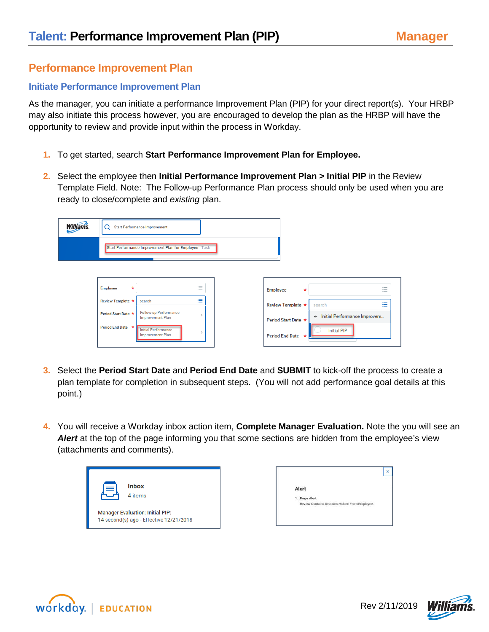## **Performance Improvement Plan**

## **Initiate Performance Improvement Plan**

As the manager, you can initiate a performance Improvement Plan (PIP) for your direct report(s). Your HRBP may also initiate this process however, you are encouraged to develop the plan as the HRBP will have the opportunity to review and provide input within the process in Workday.

- **1.** To get started, search **Start Performance Improvement Plan for Employee.**
- **2.** Select the employee then **Initial Performance Improvement Plan > Initial PIP** in the Review Template Field. Note: The Follow-up Performance Plan process should only be used when you are ready to close/complete and *existing* plan.

| Start Performance Improvement Plan for Employee - Task                                                                                                                                                                                                                                |                                                                                                                                                                                                                                                       |
|---------------------------------------------------------------------------------------------------------------------------------------------------------------------------------------------------------------------------------------------------------------------------------------|-------------------------------------------------------------------------------------------------------------------------------------------------------------------------------------------------------------------------------------------------------|
| $\overline{\phantom{a}}$<br><b>Employee</b><br>$\ast$<br>$\overline{\phantom{0}}$<br>$=$<br>≔<br>Review Template *<br>search<br>Follow-up Performance<br>Period Start Date *<br><b>Improvement Plan</b><br>Period End Date *<br><b>Initial Performance</b><br><b>Improvement Plan</b> | $\overline{\phantom{a}}$<br><b>Employee</b><br>*<br>$\overline{\phantom{a}}$<br>$\overline{\phantom{a}}$<br>洼<br>Review Template *<br>search<br>← Initial Performance Improvem<br>Period Start Date *<br><b>Initial PIP</b><br><b>Period End Date</b> |

- **3.** Select the **Period Start Date** and **Period End Date** and **SUBMIT** to kick-off the process to create a plan template for completion in subsequent steps. (You will not add performance goal details at this point.)
- **4.** You will receive a Workday inbox action item, **Complete Manager Evaluation.** Note the you will see an *Alert* at the top of the page informing you that some sections are hidden from the employee's view (attachments and comments).

| <b>Inbox</b><br>4 items                                                            |  |
|------------------------------------------------------------------------------------|--|
| <b>Manager Evaluation: Initial PIP:</b><br>14 second(s) ago - Effective 12/21/2018 |  |

| Alert                                                                                                                                        |
|----------------------------------------------------------------------------------------------------------------------------------------------|
| 1. Page Alert<br>Review Contains Sections Hidden From Employee.<br>1. 음악 경찰 발사 한 분위기 전문 경찰 경찰 사장님은 2016 Magazine 2017 Maga European Magazine |



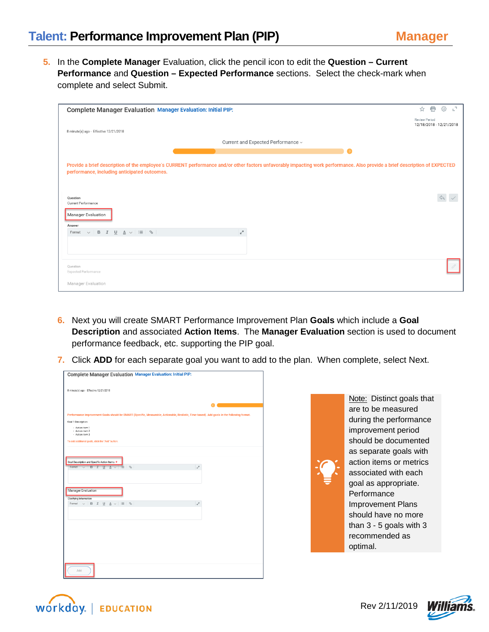**5.** In the **Complete Manager** Evaluation, click the pencil icon to edit the **Question – Current Performance** and **Question – Expected Performance** sections.Select the check-mark when complete and select Submit.

| <b>Complete Manager Evaluation Manager Evaluation: Initial PIP:</b>                                                                                                                                                         | 量<br>$\mathbb{L}^{\mathbb{T}}$ .<br>☆<br>ද්රි}  |
|-----------------------------------------------------------------------------------------------------------------------------------------------------------------------------------------------------------------------------|-------------------------------------------------|
| 8 minute(s) ago - Effective 12/21/2018                                                                                                                                                                                      | <b>Review Period</b><br>12/18/2018 - 12/21/2018 |
|                                                                                                                                                                                                                             |                                                 |
| Current and Expected Performance ~                                                                                                                                                                                          |                                                 |
|                                                                                                                                                                                                                             |                                                 |
| Provide a brief description of the employee's CURRENT performance and/or other factors unfavorably impacting work performance. Also provide a brief description of EXPECTED<br>performance, including anticipated outcomes. |                                                 |
| Ouestion<br>Current Performance                                                                                                                                                                                             |                                                 |
| <b>Manager Evaluation</b>                                                                                                                                                                                                   |                                                 |
| Answer                                                                                                                                                                                                                      |                                                 |
| $\epsilon$<br>$\mathbf B$<br>$\mathcal{I}$<br>$\emptyset$ $\equiv$ $\infty$<br>Format<br>$\checkmark$                                                                                                                       |                                                 |
|                                                                                                                                                                                                                             |                                                 |
| Ouestion<br>Expected Performance                                                                                                                                                                                            |                                                 |
| Manager Evaluation                                                                                                                                                                                                          |                                                 |

- **6.** Next you will create SMART Performance Improvement Plan **Goals** which include a **Goal Description** and associated **Action Items**. The **Manager Evaluation** section is used to document performance feedback, etc. supporting the PIP goal.
- **7.** Click **ADD** for each separate goal you want to add to the plan. When complete, select Next.

| <b>Complete Manager Evaluation Manager Evaluation: Initial PIP:</b>                                                                         |        |
|---------------------------------------------------------------------------------------------------------------------------------------------|--------|
| 8 minute(s) ago - Effective 12/21/2018                                                                                                      |        |
|                                                                                                                                             |        |
|                                                                                                                                             |        |
| Performance Improvement Goals should be SMART (Specific, Measurable, Actionable, Realistic, Time-based). Add goals in the following format. |        |
| Goal 1 Description:                                                                                                                         |        |
| - Action item 1<br>- Action item 2<br>- Action item 3                                                                                       |        |
|                                                                                                                                             |        |
| To add additional goals, click the "Add" button.                                                                                            |        |
|                                                                                                                                             |        |
|                                                                                                                                             |        |
| Goal Description and Specific Action Items *<br>Format $\vee$ <b>B</b> $I$ <b>U</b> $A$ $\vee$<br>$\mathscr{E}$                             | فنمحما |
|                                                                                                                                             |        |
|                                                                                                                                             |        |
|                                                                                                                                             |        |
| Manager Evaluation                                                                                                                          |        |
| Clarifying Information                                                                                                                      |        |
| Format $\vee$   B I U A $\vee$   $\equiv$   &                                                                                               | v      |
|                                                                                                                                             |        |
|                                                                                                                                             |        |
|                                                                                                                                             |        |
|                                                                                                                                             |        |
|                                                                                                                                             |        |
|                                                                                                                                             |        |
|                                                                                                                                             |        |
|                                                                                                                                             |        |
|                                                                                                                                             |        |
| Add                                                                                                                                         |        |

Note: Distinct goals that are to be measured during the performance improvement period should be documented as separate goals with action items or metrics associated with each goal as appropriate. Performance Improvement Plans should have no more than 3 - 5 goals with 3 recommended as optimal.



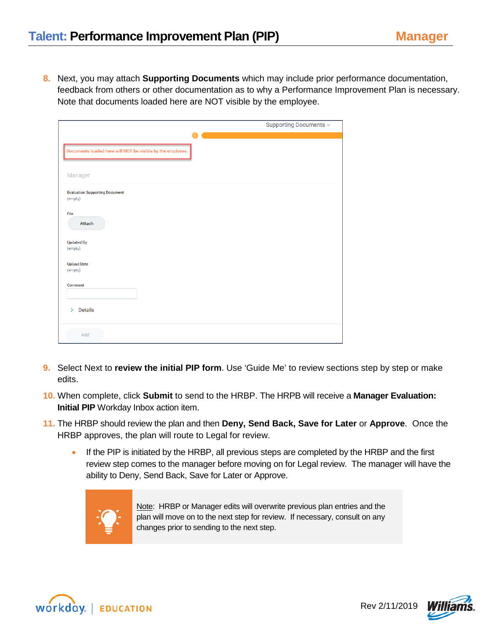**8.** Next, you may attach **Supporting Documents** which may include prior performance documentation, feedback from others or other documentation as to why a Performance Improvement Plan is necessary. Note that documents loaded here are NOT visible by the employee.

|                                                            | Supporting Documents ~ |
|------------------------------------------------------------|------------------------|
|                                                            |                        |
| Documents loaded here will NOT be visible by the employee. |                        |
| Manager                                                    |                        |
| <b>Evaluation Supporting Document</b><br>(empty)           |                        |
| File<br>Attach                                             |                        |
| <b>Updated By</b><br>(empty)                               |                        |
| <b>Upload Date</b><br>(empty)                              |                        |
| <b>Comment</b>                                             |                        |
| <b>Details</b><br>$\rightarrow$                            |                        |
| Add                                                        |                        |

- **9.** Select Next to **review the initial PIP form**. Use 'Guide Me' to review sections step by step or make edits.
- **10.** When complete, click **Submit** to send to the HRBP. The HRPB will receive a **Manager Evaluation: Initial PIP** Workday Inbox action item.
- **11.** The HRBP should review the plan and then **Deny, Send Back, Save for Later** or **Approve**. Once the HRBP approves, the plan will route to Legal for review.
	- If the PIP is initiated by the HRBP, all previous steps are completed by the HRBP and the first review step comes to the manager before moving on for Legal review. The manager will have the ability to Deny, Send Back, Save for Later or Approve.



Note: HRBP or Manager edits will overwrite previous plan entries and the plan will move on to the next step for review. If necessary, consult on any changes prior to sending to the next step.



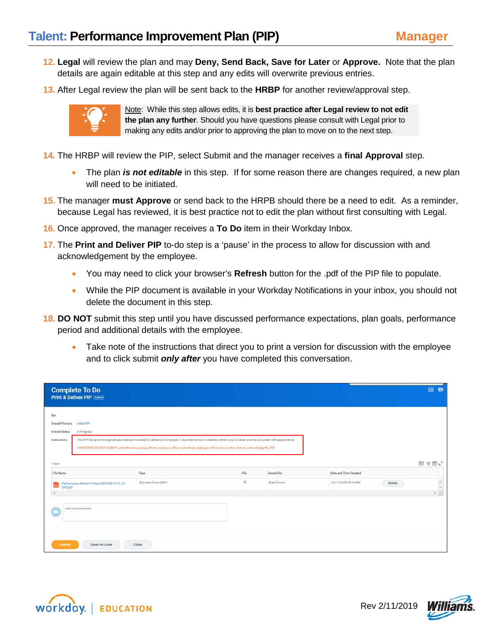- **12. Legal** will review the plan and may **Deny, Send Back, Save for Later** or **Approve.** Note that the plan details are again editable at this step and any edits will overwrite previous entries.
- **13.** After Legal review the plan will be sent back to the **HRBP** for another review/approval step.



Note: While this step allows edits, it is **best practice after Legal review to not edit the plan any further**. Should you have questions please consult with Legal prior to making any edits and/or prior to approving the plan to move on to the next step.

- **14.** The HRBP will review the PIP, select Submit and the manager receives a **final Approval** step.
	- The plan *is not editable* in this step. If for some reason there are changes required, a new plan will need to be initiated.
- **15.** The manager **must Approve** or send back to the HRPB should there be a need to edit. As a reminder, because Legal has reviewed, it is best practice not to edit the plan without first consulting with Legal.
- **16.** Once approved, the manager receives a **To Do** item in their Workday Inbox.
- **17.** The **Print and Deliver PIP** to-do step is a 'pause' in the process to allow for discussion with and acknowledgement by the employee.
	- You may need to click your browser's **Refresh** button for the .pdf of the PIP file to populate.
	- While the PIP document is available in your Workday Notifications in your inbox, you should not delete the document in this step.
- **18. DO NOT** submit this step until you have discussed performance expectations, plan goals, performance period and additional details with the employee.
	- Take note of the instructions that direct you to print a version for discussion with the employee and to click submit *only after* you have completed this conversation.

|                                 | <b>Complete To Do</b><br>Print & Deliver PIP (Actions) |                                                                                                                                                                                                                                                                                                                            |      |             |                       |        | 日<br>囲       |
|---------------------------------|--------------------------------------------------------|----------------------------------------------------------------------------------------------------------------------------------------------------------------------------------------------------------------------------------------------------------------------------------------------------------------------------|------|-------------|-----------------------|--------|--------------|
| For<br><b>Overall Process</b>   | Initial PIP                                            |                                                                                                                                                                                                                                                                                                                            |      |             |                       |        |              |
| Overall Status<br>Instructions. | In Progress                                            | This PIP has gone through all approvals and is ready for delivery to employee. If a printed version is desired, refresh your browser and the document will appear below.<br>IMPORTANT: DO NOT SUBMIT until after discussing with the employee. When submitted, employee will receive an inbox item to acknowledge the PIP. |      |             |                       |        |              |
| 7 item                          |                                                        |                                                                                                                                                                                                                                                                                                                            |      |             |                       |        | 剛专団い         |
| File Name                       |                                                        | Type                                                                                                                                                                                                                                                                                                                       | File | Created by  | Date and Time Created |        |              |
| 30.8<br>CST.pdf                 | Performance Review Printout 2019-02-11 17_16           | Business Form (PDF)                                                                                                                                                                                                                                                                                                        | Q    | Brad Church | 02/11/2019 05:16 PM   | Delete | $\leftarrow$ |
|                                 |                                                        |                                                                                                                                                                                                                                                                                                                            |      |             |                       |        | $\mathbb{R}$ |
|                                 | enter your comment                                     |                                                                                                                                                                                                                                                                                                                            |      |             |                       |        |              |
| <b>Submit</b>                   | Save for Later                                         | Close                                                                                                                                                                                                                                                                                                                      |      |             |                       |        |              |



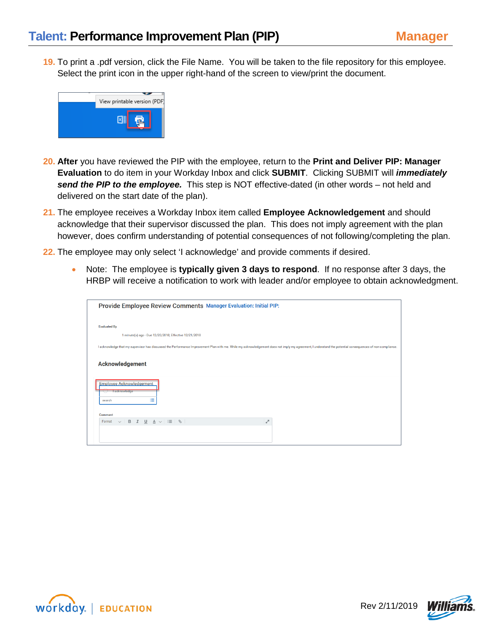**19.** To print a .pdf version, click the File Name. You will be taken to the file repository for this employee. Select the print icon in the upper right-hand of the screen to view/print the document.



- **20. After** you have reviewed the PIP with the employee, return to the **Print and Deliver PIP: Manager Evaluation** to do item in your Workday Inbox and click **SUBMIT**. Clicking SUBMIT will *immediately send the PIP to the employee.*This step is NOT effective-dated (in other words – not held and delivered on the start date of the plan).
- **21.** The employee receives a Workday Inbox item called **Employee Acknowledgement** and should acknowledge that their supervisor discussed the plan. This does not imply agreement with the plan however, does confirm understanding of potential consequences of not following/completing the plan.
- **22.** The employee may only select 'I acknowledge' and provide comments if desired.
	- Note: The employee is **typically given 3 days to respond**. If no response after 3 days, the HRBP will receive a notification to work with leader and/or employee to obtain acknowledgment.

| Provide Employee Review Comments Manager Evaluation: Initial PIP:                                                                                                                                         |
|-----------------------------------------------------------------------------------------------------------------------------------------------------------------------------------------------------------|
| <b>Evaluated By</b>                                                                                                                                                                                       |
| 1 minute(s) ago - Due 12/20/2018; Effective 12/21/2018                                                                                                                                                    |
| I acknowledge that my supervisor has discussed the Performance Improvement Plan with me. While my acknowledgement does not imply my agreement, I understand the potential consequences of non-compliance. |
| Acknowledgement                                                                                                                                                                                           |
| <b>Employee Acknowledgement</b><br><b>I</b> acknowledge                                                                                                                                                   |
| 洼<br>search                                                                                                                                                                                               |
| Comment                                                                                                                                                                                                   |
| $\mathbf{e}^{\mathbf{R}}$<br>Format $\vee$ <b>B</b> $I$ <b>U</b> $\underline{A}$ $\vee$ $ \equiv$ $\otimes$                                                                                               |



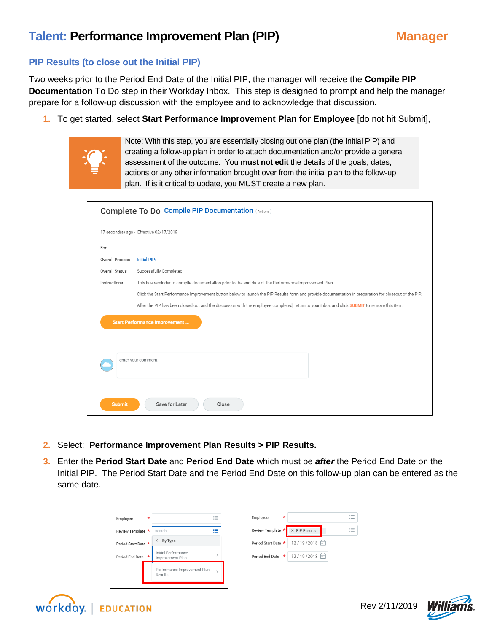## **PIP Results (to close out the Initial PIP)**

Two weeks prior to the Period End Date of the Initial PIP, the manager will receive the **Compile PIP Documentation** To Do step in their Workday Inbox. This step is designed to prompt and help the manager prepare for a follow-up discussion with the employee and to acknowledge that discussion.

**1.** To get started, select **Start Performance Improvement Plan for Employee** [do not hit Submit],



Note: With this step, you are essentially closing out one plan (the Initial PIP) and creating a follow-up plan in order to attach documentation and/or provide a general assessment of the outcome. You **must not edit** the details of the goals, dates, actions or any other information brought over from the initial plan to the follow-up plan. If is it critical to update, you MUST create a new plan.

|                 | Complete To Do Compile PIP Documentation (Actions)                                                                                                    |  |  |  |  |  |  |  |
|-----------------|-------------------------------------------------------------------------------------------------------------------------------------------------------|--|--|--|--|--|--|--|
|                 | 17 second(s) ago - Effective 02/17/2019                                                                                                               |  |  |  |  |  |  |  |
| For             |                                                                                                                                                       |  |  |  |  |  |  |  |
| Overall Process | Initial PIP:                                                                                                                                          |  |  |  |  |  |  |  |
| Overall Status  | Successfully Completed                                                                                                                                |  |  |  |  |  |  |  |
| Instructions    | This is a reminder to compile documentation prior to the end date of the Performance Improvement Plan.                                                |  |  |  |  |  |  |  |
|                 | Click the Start Performance Improvement button below to launch the PIP Results form and provide documentation in preparation for closeout of the PIP. |  |  |  |  |  |  |  |
|                 | After the PIP has been closed out and the discussion with the employee completed, return to your inbox and click SUBMIT to remove this item.          |  |  |  |  |  |  |  |
|                 | <b>Start Performance Improvement </b><br>enter your comment                                                                                           |  |  |  |  |  |  |  |
| <b>Submit</b>   | Save for Later<br>Close                                                                                                                               |  |  |  |  |  |  |  |

- **2.** Select: **Performance Improvement Plan Results > PIP Results.**
- **3.** Enter the **Period Start Date** and **Period End Date** which must be *after* the Period End Date on the Initial PIP. The Period Start Date and the Period End Date on this follow-up plan can be entered as the same date.

| Employee            | $\star$ |                                         | $\overline{\phantom{a}}$<br>$\overline{\phantom{a}}$ |  | Employee          | $\star$                          |
|---------------------|---------|-----------------------------------------|------------------------------------------------------|--|-------------------|----------------------------------|
| Review Template *   |         | search                                  | ._<br>$\overline{\phantom{0}}$<br>≔                  |  | Review Template * | $\times$ PIP Results             |
| Period Start Date * |         | $\leftarrow$ By Type                    |                                                      |  |                   | Period Start Date *   12/19/2018 |
| Period End Date *   |         | Initial Performance<br>Improvement Plan |                                                      |  |                   | Period End Date * 12/19/2018 日   |
|                     |         | Performance Improvement Plan<br>Results |                                                      |  |                   |                                  |
|                     |         |                                         |                                                      |  |                   |                                  |



 $\equiv$ ïΞ.